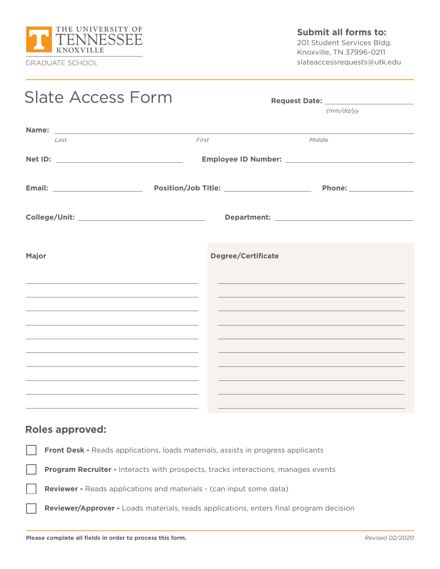

**Submit all forms to:**

201 Student Services Bldg. Knoxville, TN 37996-0211 slateaccessrequests@utk.edu

| <b>Slate Access Form</b>                                                                                                                                                                                                      |  |                           | Request Date: National Property of the Contract of the Contract of the Contract of the Contract of the Contract of the Contract of the Contract of the Contract of the Contract of the Contract of the Contract of the Contrac |  |
|-------------------------------------------------------------------------------------------------------------------------------------------------------------------------------------------------------------------------------|--|---------------------------|--------------------------------------------------------------------------------------------------------------------------------------------------------------------------------------------------------------------------------|--|
|                                                                                                                                                                                                                               |  |                           | $\frac{\text{m}}{\text{d}x}$                                                                                                                                                                                                   |  |
|                                                                                                                                                                                                                               |  |                           |                                                                                                                                                                                                                                |  |
| Last                                                                                                                                                                                                                          |  | First                     | Middle                                                                                                                                                                                                                         |  |
|                                                                                                                                                                                                                               |  |                           |                                                                                                                                                                                                                                |  |
|                                                                                                                                                                                                                               |  |                           |                                                                                                                                                                                                                                |  |
|                                                                                                                                                                                                                               |  |                           |                                                                                                                                                                                                                                |  |
|                                                                                                                                                                                                                               |  |                           |                                                                                                                                                                                                                                |  |
| Major                                                                                                                                                                                                                         |  | <b>Degree/Certificate</b> |                                                                                                                                                                                                                                |  |
|                                                                                                                                                                                                                               |  |                           |                                                                                                                                                                                                                                |  |
|                                                                                                                                                                                                                               |  |                           |                                                                                                                                                                                                                                |  |
| the control of the control of the control of the control of the control of the control of the control of the control of the control of the control of the control of the control of the control of the control of the control |  |                           | and the control of the control of the control of the control of the control of the control of the control of the                                                                                                               |  |
|                                                                                                                                                                                                                               |  |                           |                                                                                                                                                                                                                                |  |
|                                                                                                                                                                                                                               |  |                           |                                                                                                                                                                                                                                |  |
| and the control of the control of the control of the control of the control of the control of the control of the                                                                                                              |  |                           |                                                                                                                                                                                                                                |  |
|                                                                                                                                                                                                                               |  |                           |                                                                                                                                                                                                                                |  |

## **Roles approved:**

**Front Desk -** Reads applications, loads materials, assists in progress applicants

**Program Recruiter -** Interacts with prospects, tracks interactions, manages events

**Reviewer -** Reads applications and materials - (can input some data)

**Reviewer/Approver -** Loads materials, reads applications, enters final program decision